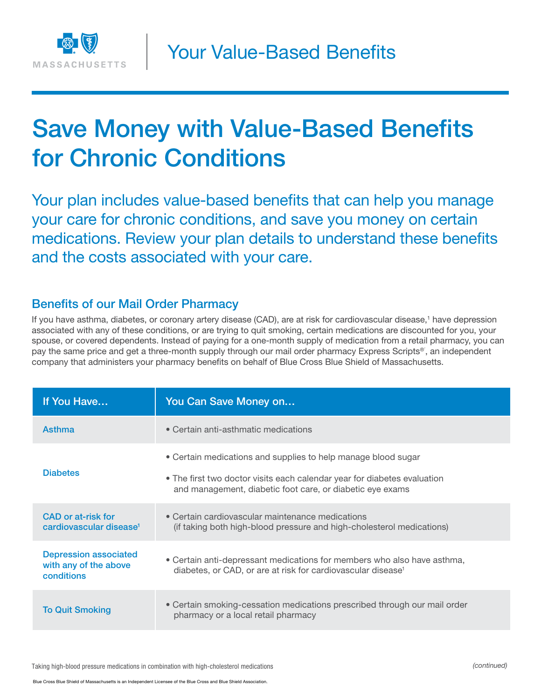

# Save Money with Value-Based Benefits for Chronic Conditions

Your plan includes value-based benefits that can help you manage your care for chronic conditions, and save you money on certain medications. Review your plan details to understand these benefits and the costs associated with your care.

#### Benefits of our Mail Order Pharmacy

If you have asthma, diabetes, or coronary artery disease (CAD), are at risk for cardiovascular disease,<sup>1</sup> have depression associated with any of these conditions, or are trying to quit smoking, certain medications are discounted for you, your spouse, or covered dependents. Instead of paying for a one-month supply of medication from a retail pharmacy, you can pay the same price and get a three-month supply through our mail order pharmacy Express Scripts®´, an independent company that administers your pharmacy benefits on behalf of Blue Cross Blue Shield of Massachusetts.

| If You Have                                                         | You Can Save Money on                                                                                                                                                                                  |
|---------------------------------------------------------------------|--------------------------------------------------------------------------------------------------------------------------------------------------------------------------------------------------------|
| Asthma                                                              | • Certain anti-asthmatic medications                                                                                                                                                                   |
| <b>Diabetes</b>                                                     | • Certain medications and supplies to help manage blood sugar<br>• The first two doctor visits each calendar year for diabetes evaluation<br>and management, diabetic foot care, or diabetic eye exams |
| CAD or at-risk for<br>cardiovascular disease <sup>1</sup>           | • Certain cardiovascular maintenance medications<br>(if taking both high-blood pressure and high-cholesterol medications)                                                                              |
| <b>Depression associated</b><br>with any of the above<br>conditions | • Certain anti-depressant medications for members who also have asthma,<br>diabetes, or CAD, or are at risk for cardiovascular disease <sup>1</sup>                                                    |
| <b>To Quit Smoking</b>                                              | • Certain smoking-cessation medications prescribed through our mail order<br>pharmacy or a local retail pharmacy                                                                                       |

Taking high-blood pressure medications in combination with high-cholesterol medications